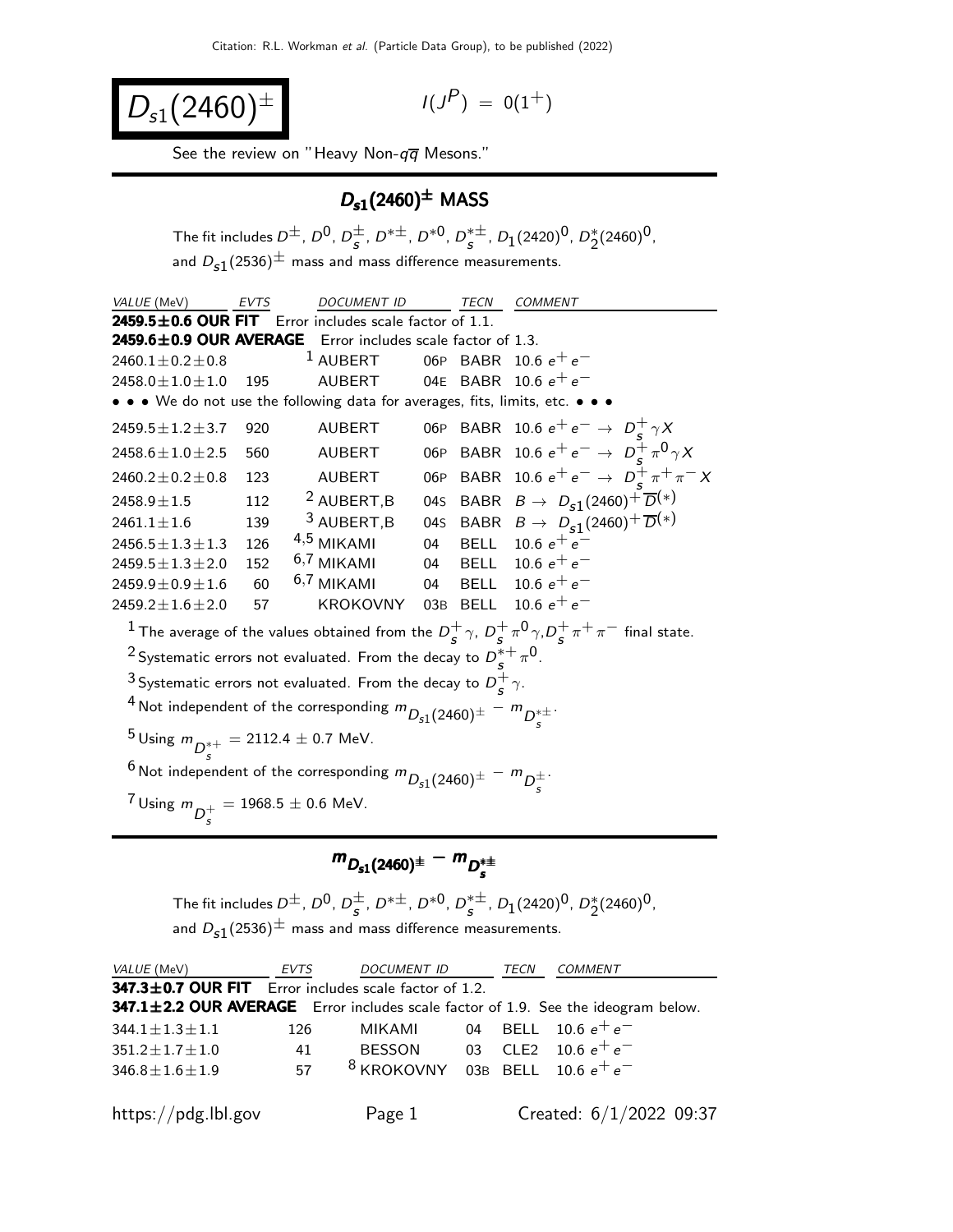$$
D_{s1}(2460)^{\pm}
$$

$$
I(J^P) \ = \ 0(1^+)
$$

See the review on "Heavy Non- $q\overline{q}$  Mesons."

### $D_{s1}(2460)^{\pm}$  MASS

The fit includes  $D^{\pm}$ ,  $D^{0}$ ,  $D^{\pm}$  $\frac{1}{s}$ ,  $D^{*\pm}$ ,  $D^{*0}$ ,  $D_s^{*\pm}$  $_s^{*\pm}$ ,  $D_1(2420)^0$ ,  $D_2^*(2460)^0$ , and  $D_{s1}(2536)^{\pm}$  mass and mass difference measurements.

| VALUE (MeV)<br><b>EVTS</b>                                                                   |                                                                                                | <b>DOCUMENT ID</b>                                                                 |  | TECN | COMMENT                                                                                                                                     |  |  |
|----------------------------------------------------------------------------------------------|------------------------------------------------------------------------------------------------|------------------------------------------------------------------------------------|--|------|---------------------------------------------------------------------------------------------------------------------------------------------|--|--|
|                                                                                              |                                                                                                | $2459.5 \pm 0.6$ OUR FIT Error includes scale factor of 1.1.                       |  |      |                                                                                                                                             |  |  |
|                                                                                              |                                                                                                | 2459.6±0.9 OUR AVERAGE Error includes scale factor of 1.3.                         |  |      |                                                                                                                                             |  |  |
| $2460.1 \pm 0.2 \pm 0.8$                                                                     |                                                                                                | $1$ AUBERT                                                                         |  |      | 06P BABR 10.6 $e^+e^-$                                                                                                                      |  |  |
| $2458.0 \pm 1.0 \pm 1.0$                                                                     | 195                                                                                            | AUBERT                                                                             |  |      | 04E BABR 10.6 $e^+e^-$                                                                                                                      |  |  |
|                                                                                              |                                                                                                | • • • We do not use the following data for averages, fits, limits, etc. • • •      |  |      |                                                                                                                                             |  |  |
| $2459.5 \pm 1.2 \pm 3.7$                                                                     | 920                                                                                            | AUBERT                                                                             |  |      | 06P BABR 10.6 $e^+e^- \to D_c^+\gamma X$                                                                                                    |  |  |
| $2458.6 \pm 1.0 \pm 2.5$                                                                     | 560                                                                                            | AUBERT                                                                             |  |      | 06P BABR 10.6 $e^+e^- \to D_c^+\pi^0\gamma X$                                                                                               |  |  |
| $2460.2 \pm 0.2 \pm 0.8$                                                                     | 123                                                                                            | <b>AUBERT</b>                                                                      |  |      | 06P BABR 10.6 $e^+e^- \rightarrow D_s^+\pi^+\pi^- X$                                                                                        |  |  |
| $2458.9 \pm 1.5$                                                                             | 112                                                                                            | <sup>2</sup> AUBERT, B                                                             |  |      | 04s BABR $B \rightarrow D_{s1}(2460)^{+} \overline{D}^{(*)}$                                                                                |  |  |
| $2461.1 \pm 1.6$                                                                             | 139                                                                                            | $3$ AUBERT, B                                                                      |  |      | 045 BABR $B \to D_{s1}(2460)^{+} \overline{D}^{(*)}$                                                                                        |  |  |
| $2456.5 \pm 1.3 \pm 1.3$                                                                     | 126                                                                                            | $4,5$ MIKAMI                                                                       |  |      | 04 BELL 10.6 $e^+e^-$                                                                                                                       |  |  |
| $2459.5 \pm 1.3 \pm 2.0$                                                                     | 152                                                                                            | 6,7 MIKAMI                                                                         |  |      | 04 BELL 10.6 $e^+ \, e^-$                                                                                                                   |  |  |
| $2459.9 \pm 0.9 \pm 1.6$                                                                     | 60                                                                                             | $6,7$ MIKAMI                                                                       |  |      | 04 BELL 10.6 $e^+ \, e^-$                                                                                                                   |  |  |
| $2459.2 \pm 1.6 \pm 2.0$                                                                     | 57                                                                                             | KROKOVNY 03B BELL 10.6 $e^+e^-$                                                    |  |      |                                                                                                                                             |  |  |
|                                                                                              |                                                                                                |                                                                                    |  |      | <sup>1</sup> The average of the values obtained from the $D_s^+$ $\gamma$ , $D_s^+$ $\pi^0$ $\gamma$ , $D_s^+$ $\pi^+$ $\pi^-$ final state. |  |  |
|                                                                                              |                                                                                                | <sup>2</sup> Systematic errors not evaluated. From the decay to $D_s^{*+} \pi^0$ . |  |      |                                                                                                                                             |  |  |
|                                                                                              |                                                                                                | <sup>3</sup> Systematic errors not evaluated. From the decay to $D_s^+ \gamma$ .   |  |      |                                                                                                                                             |  |  |
|                                                                                              | <sup>4</sup> Not independent of the corresponding $m_{D_{s1}(2460)^{\pm}} - m_{D_{s}^{\pm}}$ . |                                                                                    |  |      |                                                                                                                                             |  |  |
| <sup>5</sup> Using $m_{D^*+} = 2112.4 \pm 0.7$ MeV.                                          |                                                                                                |                                                                                    |  |      |                                                                                                                                             |  |  |
| <sup>6</sup> Not independent of the corresponding $m_{D_{s1}(2460)^{\pm}} - m_{D_s^{\pm}}$ . |                                                                                                |                                                                                    |  |      |                                                                                                                                             |  |  |
| <sup>7</sup> Using $m_{D_c^+} = 1968.5 \pm 0.6$ MeV.                                         |                                                                                                |                                                                                    |  |      |                                                                                                                                             |  |  |

#### $m_{D_{s1}(2460)^{\pm}} - m_{D_s^{*\pm}}$  $m_{D_{s1}(2460)^{\pm}} - m_{D_s^{*\pm}}$  $m_{D_{s1}(2460)^{\pm}} - m_{D_s^{*\pm}}$

The fit includes  $D^{\pm}$ ,  $D^{0}$ ,  $D^{\pm}$  $\frac{\pm}{s}$ , D<sup>\* $\pm$ </sup>, D<sup>\*0</sup>, D<sup>\* $\pm$ </sup>  $_s^{*\pm}$ ,  $D_1(2420)^0$ ,  $D_2^*(2460)^0$ , and  $D_{s1}(2536)^{\pm}$  mass and mass difference measurements.

| <i>VALUE</i> (MeV)                                                                | EVTS | <i>DOCUMENT ID</i>                  | TECN | <b>COMMENT</b>          |
|-----------------------------------------------------------------------------------|------|-------------------------------------|------|-------------------------|
| 347.3±0.7 OUR FIT Error includes scale factor of 1.2.                             |      |                                     |      |                         |
| 347.1±2.2 OUR AVERAGE Error includes scale factor of 1.9. See the ideogram below. |      |                                     |      |                         |
| $344.1 \pm 1.3 \pm 1.1$                                                           | 126  | MIKAMI 04 BELL 10.6 $e^+e^-$        |      |                         |
| $351.2 \pm 1.7 \pm 1.0$                                                           | 41   | BESSON 03 CLE2 10.6 $e^+e^-$        |      |                         |
| $346.8 \pm 1.6 \pm 1.9$                                                           | 57   | $8$ KROKOVNY 03B BELL 10.6 $e^+e^-$ |      |                         |
|                                                                                   |      |                                     |      |                         |
| https://pdg.lbl.gov                                                               |      | Page 1                              |      | Created: 6/1/2022 09:37 |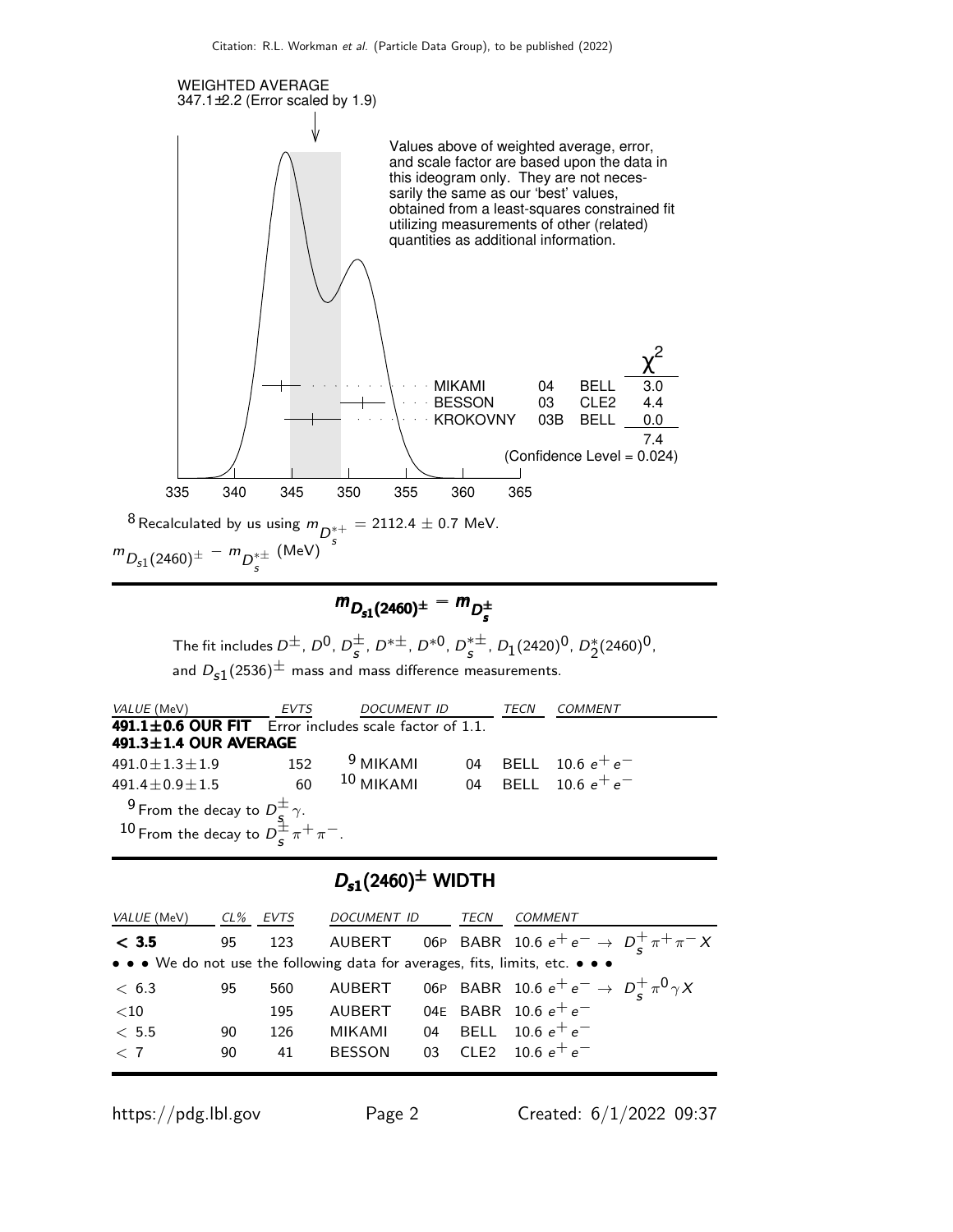

$$
m_{D_{s1}(2460)^{\pm}} - m_{D_s^{\pm}}
$$

The fit includes  $D^{\pm}$ ,  $D^{0}$ ,  $D^{\pm}$  $\frac{\pm}{s}$ , D<sup>\* $\pm$ </sup>, D<sup>\*0</sup>, D<sup>\* $\pm$ </sup>  $_s^{*\pm}$ ,  $D_1(2420)^0$ ,  $D_2^*(2460)^0$ , and  $D_{s1}(2536)^{\pm}$  mass and mass difference measurements.

| <i>VALUE</i> (MeV)                                                                                                                      | EVTS | <b>DOCUMENT ID</b>                |  | <b>TECN</b> | COMMENT               |  |
|-----------------------------------------------------------------------------------------------------------------------------------------|------|-----------------------------------|--|-------------|-----------------------|--|
| 491.1±0.6 OUR FIT Error includes scale factor of 1.1.                                                                                   |      |                                   |  |             |                       |  |
| $491.3 \pm 1.4$ OUR AVERAGE                                                                                                             |      |                                   |  |             |                       |  |
| $491.0 \pm 1.3 \pm 1.9$                                                                                                                 | 152  | <sup>9</sup> MIKAMI               |  |             | 04 BELL 10.6 $e^+e^-$ |  |
| $491.4 \pm 0.9 \pm 1.5$                                                                                                                 | 60   | $10$ MIKAMI 04 BELL 10.6 $e^+e^-$ |  |             |                       |  |
| <sup>9</sup> From the decay to $D_{\frac{5}{5}}^{\pm}$ $\gamma$ .<br>10 From the decay to $D_{\frac{1}{5}}^{\pm}$ $\pi^{+}$ $\pi^{-}$ . |      |                                   |  |             |                       |  |
|                                                                                                                                         |      |                                   |  |             |                       |  |

# $D_{s1}(2460)^{\pm}$  WIDTH

| VALUE (MeV) | CL% | EVTS | <i>DOCUMENT ID</i> | TECN | <b>COMMENT</b>                                                                |
|-------------|-----|------|--------------------|------|-------------------------------------------------------------------------------|
| < 3.5       | 95  | 123  |                    |      | AUBERT 06P BABR 10.6 $e^+e^- \rightarrow D_c^+\pi^+\pi^- X$                   |
|             |     |      |                    |      | • • • We do not use the following data for averages, fits, limits, etc. • • • |
| < 6.3       | 95  | 560  |                    |      | AUBERT 06P BABR 10.6 $e^+e^- \rightarrow D^+_{\rm c} \pi^0 \gamma X$          |
| ${<}10$     |     | 195  | AUBERT             |      | 04E BABR 10.6 $e^+e^-$                                                        |
| < 5.5       | 90  | 126  | MIKAMI             |      | 04 BELL 10.6 $e^+e^-$                                                         |
| $\langle 7$ | 90  | 41   | <b>BESSON</b>      |      | 03 CLE2 10.6 $e^+e^-$                                                         |
|             |     |      |                    |      |                                                                               |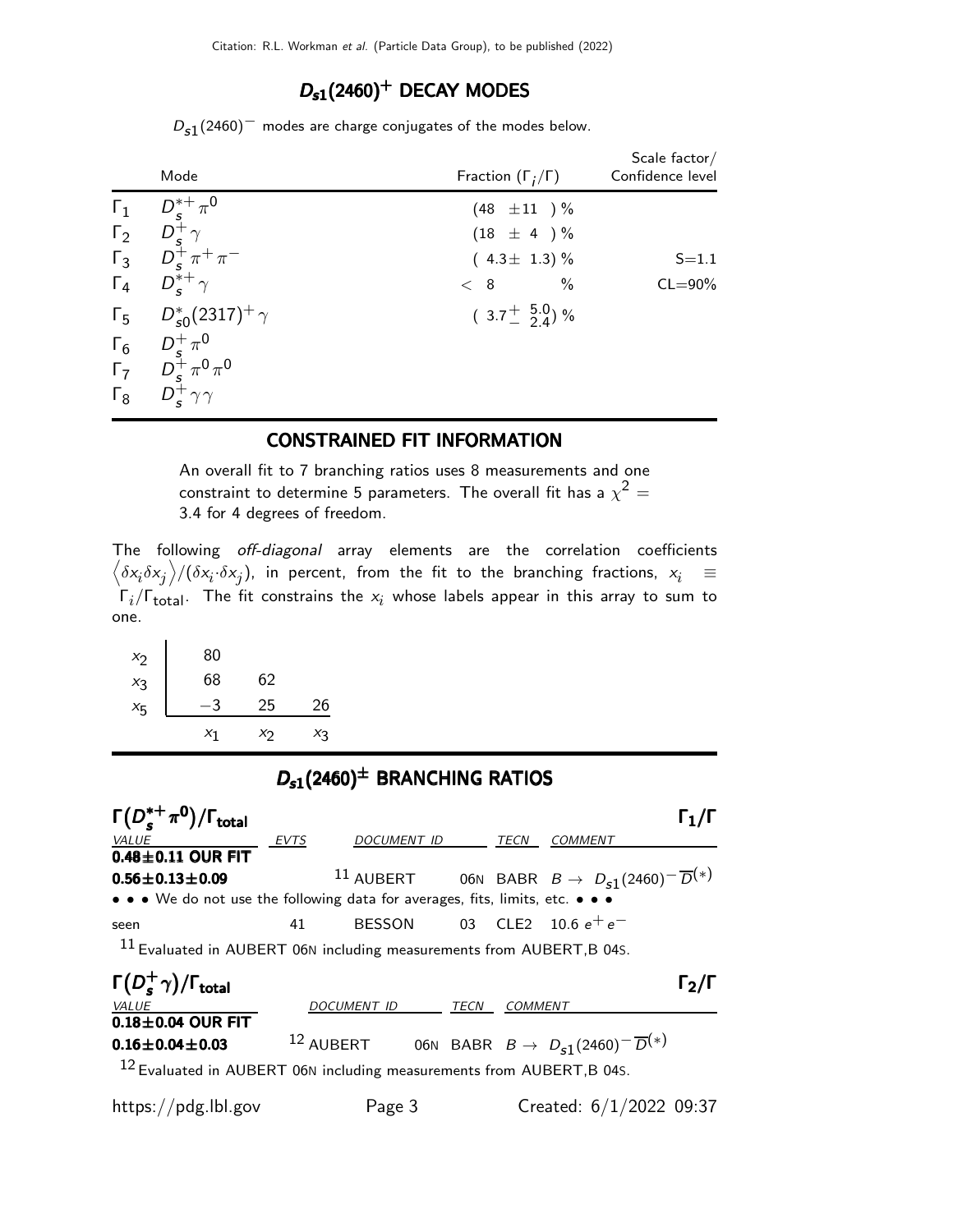### $D_{s1}(2460)^+$  DECAY MODES

 $D_{\mathtt{s}1}(2460)^+$  modes are charge conjugates of the modes below.

|            | Mode                                                                                                            | Fraction $(\Gamma_i/\Gamma)$          | Scale factor $/$<br>Confidence level |
|------------|-----------------------------------------------------------------------------------------------------------------|---------------------------------------|--------------------------------------|
| $\Gamma_1$ |                                                                                                                 | $(48 \pm 11)^{\frac{0}{2}}$           |                                      |
|            | $\frac{D_{\mathcal{S}}^{*+}\pi^{\mathsf{O}}}{D_{\mathcal{S}}^{+}\gamma}$                                        | $(18 \pm 4) \%$                       |                                      |
|            | $\begin{array}{ccc}\n\Gamma_2 & D_s^+ \gamma \\ \Gamma_3 & D_s^+ \pi^+ \pi^- \\ \end{array}$                    | $(4.3 \pm 1.3)$ %                     | $S = 1.1$                            |
|            | $\Gamma_4$ $D_s^{*+}\gamma$                                                                                     | $\%$<br>< 8                           | $CL = 90\%$                          |
|            | $\Gamma_5$ $D_{s0}^*(2317)^+$ $\gamma$                                                                          | $(3.7 \frac{+}{2} 5.0 \frac{0}{4})$ % |                                      |
|            |                                                                                                                 |                                       |                                      |
|            |                                                                                                                 |                                       |                                      |
|            | $\begin{matrix} \Gamma_6 & D_s^+\pi^0\\ \Gamma_7 & D_s^+\pi^0\pi^0\\ \Gamma_8 & D_s^+\gamma\gamma \end{matrix}$ |                                       |                                      |

#### CONSTRAINED FIT INFORMATION

An overall fit to 7 branching ratios uses 8 measurements and one constraint to determine 5 parameters. The overall fit has a  $\chi^2 =$ 3.4 for 4 degrees of freedom.

The following off-diagonal array elements are the correlation coefficients  $\left<\delta x_i\delta x_j\right>$ / $(\delta x_i\cdot\delta x_j)$ , in percent, from the fit to the branching fractions,  $x_i$   $\;\equiv$  $\Gamma_i/\Gamma_{\rm total}$ . The fit constrains the  $x_i$  whose labels appear in this array to sum to one.

| $x_2$   | 80    |    |       |
|---------|-------|----|-------|
| $x_3$   | 68    | 62 |       |
| $x_{5}$ | 3     | 25 | 26    |
|         | $x_1$ | Χŋ | $X_3$ |

### $D_{s1}(2460)^{\pm}$  BRANCHING RATIOS



https://pdg.lbl.gov Page 3 Created: 6/1/2022 09:37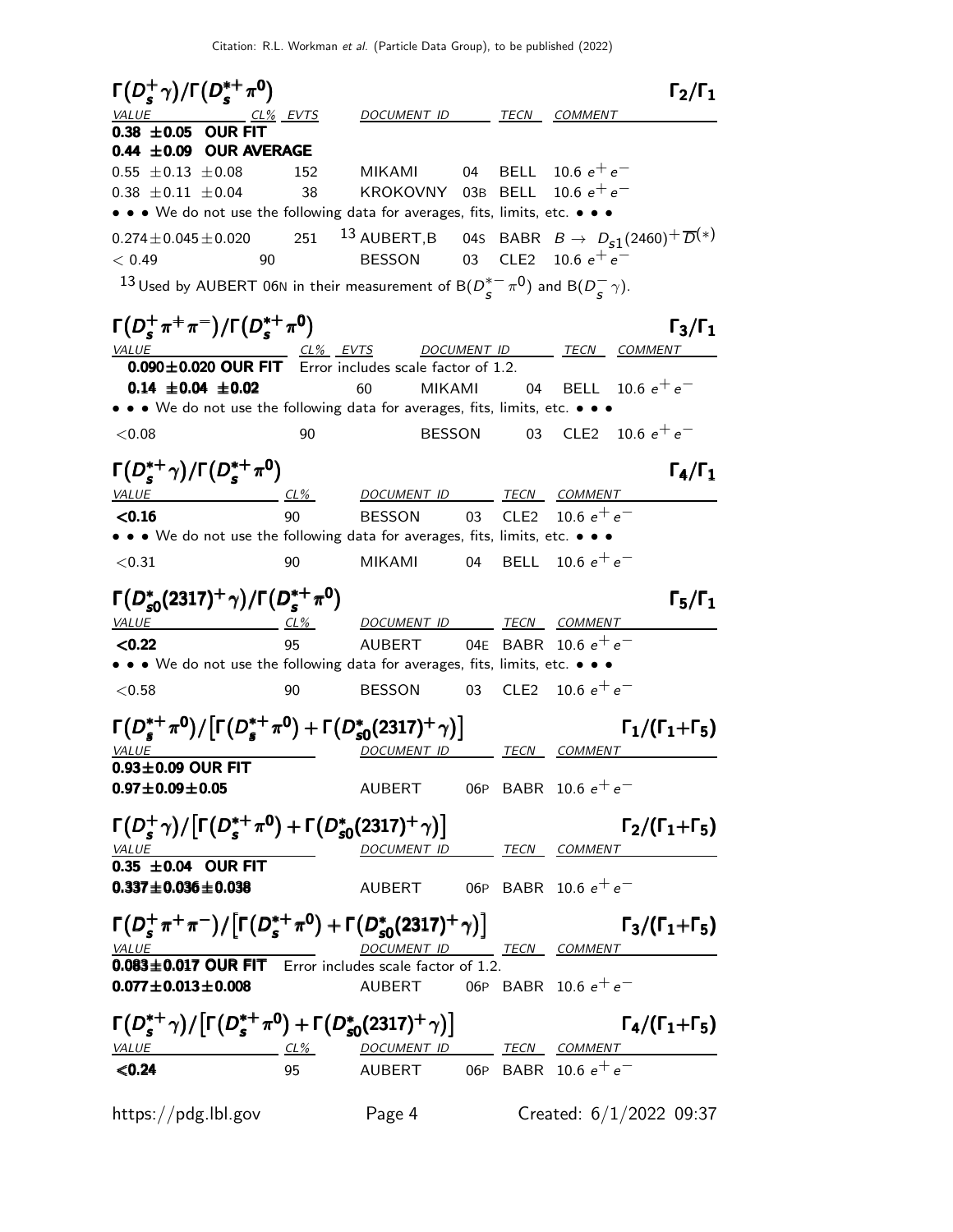Citation: R.L. Workman et al. (Particle Data Group), to be published (2022)

 $\Gamma(D_s^+\gamma)/\Gamma(D_s^{*+}\pi^0)$   $\Gamma_2/\Gamma_1$  $Γ_2/Γ_1$ DOCUMENT ID TECN COMMENT  $0.38 \pm 0.05$  OUR FIT  $0.44 \pm 0.09$  OUR AVERAGE 0.55 ± 0.13 ± 0.08 152 MIKAMI 04 BELL 10.6  $e^+e^ 0.38 \pm 0.11 \pm 0.04$  38 KROKOVNY 03B BELL 10.6  $e^+e^-$ • • • We do not use the following data for averages, fits, limits, etc. • • •  $0.274 \pm 0.045 \pm 0.020$  251  $^{13}$  AUBERT,B 04s BABR  $B \to D_{S1}(2460)^+ \overline{D}^{(*)}$  $\begin{array}{llllll} 0.274\pm 0.045\pm 0.020 & 251 & {^{13}\, } {\rm AUBERT,B} & 04 {\rm s} & {\rm BABR} & B\rightarrow \ D_{\rm s1} & {} & {} & {} & {} & {} \ 0.49 & 90 & {\rm BESSON} & 03 & {\rm CLE2} & 10.6 \ e^+e^- & {} & {} & {} & {} & {} \end{array}$  $^{13}$  Used by AUBERT 06N in their measurement of B( $D_{\tau}^{*-}$  $\frac{e^{+}}{s} \pi^{0}$ ) and B( $D_{S}^{-}$  $\frac{-}{s}$   $\gamma$ ).  $\Gamma(D_s^+\pi^+\pi^-)/\Gamma(D_s^{*+}\pi^0)$  Γ<sub>3</sub>/Γ<sub>1</sub> Γ3/ΓVALUE CL% EVTS DOCUMENT ID TECN COMMENT  $0.090\pm0.020$  OUR FIT Error includes scale factor of 1.2. **0.14 ±0.04 ±0.02** 60 MIKAMI 04 BELL 10.6  $e^+e^-$ • • • We do not use the following data for averages, fits, limits, etc. • • •  $<$  0.08 90 BESSON 03 CLE2 10.6  $e^+e^ \Gamma(D_s^{*+}\gamma)/\Gamma(D_s^{*+}\pi^0)$   $\Gamma_4/\Gamma_1$ VALUE CL<sup>%</sup> DOCUMENT ID TECN COMMENT  $<$ 0.16  $\qquad$  90 BESSON 03 CLE2 10.6  $e^+ \, e^-$ • • • We do not use the following data for averages, fits, limits, etc. • • •  $<$ 0.31 90 MIKAMI 04 BELL 10.6 e $^+$  e $^ Γ(D_s^*$  $\Gamma(D_{s0}^{*}(2317)^{+}\gamma)/\Gamma(D_{s}^{*+}\pi^{0})$  Γ<sub>5</sub>/Γ<sub>1</sub>  $\pi^0$ ) such that the set of  $\pi_5$ DOCUMENT ID TECN COMMENT  $<$ 0.22 95 AUBERT 04E BABR 10.6  $e^+$   $e^-$ • • • We do not use the following data for averages, fits, limits, etc. • • •  $<$  0.58 90 BESSON 03 CLE2 10.6  $e^+e^ \Gamma(D_s^{*+} \pi^0) / [\Gamma(D_s^{*+} \pi^0) + \Gamma(D_s^{*})]$  $\Gamma(D_s^{*+}\pi^0)/[\Gamma(D_s^{*+}\pi^0)+\Gamma(D_{s0}^{*}(2317)^{+}\gamma)]$   $\Gamma_1/(\Gamma_1+\Gamma_5)$  $\Gamma(D_s^{*+} \pi^0)/[\Gamma(D_s^{*+} \pi^0)+\Gamma(D_{s0}^{*}(2317)^+ \gamma)]$  Γ<sub>1</sub>/(Γ<sub>1</sub>+Γ<sub>5</sub>) VALUE OF THE DOCUMENT ID TECN COMMENT  $0.93\pm0.09$  OUR FIT  $0.97\pm0.09\pm0.05$  AUBERT 06P BABR 10.6  $e^+e^ \Gamma(D_s^+\gamma)/[\Gamma(D_s^{*+}\pi^0)+\Gamma(D_s^{*}$  $(S^+_{s}\gamma)/[\Gamma(D^{*+}_{s}\pi^0)+\Gamma(D^*_{s0}(2317)^+\gamma)]$   $\Gamma_2/(\Gamma_1+\Gamma_5)$  $\Gamma(D_s^+\gamma)/[\Gamma(D_s^{*+}\pi^0)+\Gamma(D_{s0}^{*}(2317)^+\gamma)]$  Γ<sub>2</sub>/(Γ<sub>1</sub>+Γ<sub>5</sub>  $\Gamma_2/(\Gamma_1+\Gamma_5)$ DOCUMENT ID TECN COMMENT  $0.35 \pm 0.04$  OUR FIT **0.337±0.036±0.038** AUBERT 06P BABR 10.6  $e^+e^ \Gamma(D_s^+\pi^+\pi^-)/[\Gamma(D_s^{*+}\pi^0)+\Gamma(D_s^*$  $\Gamma(D_s^+\pi^+\pi^-)/[\Gamma(D_s^{*+}\pi^0)+\Gamma(D_{s0}^{*}(2317)^+\gamma)]$  Γ<sub>3</sub>/(Γ<sub>1</sub>+Γ<sub>5</sub>)  $\Gamma_3/(\Gamma_1+\Gamma_5)$ VALUE **A COMMENT ID** TECN COMMENT  $0.083\pm0.017$  OUR FIT Error includes scale factor of 1.2. **0.077** $\pm$ **0.013** $\pm$ **0.008** AUBERT 06P BABR 10.6  $e^+e^ \Gamma(D_s^{*+}\gamma)/[\Gamma(D_s^{*+}\pi^0)+\Gamma(D_s^{*}$  $(D_s^{*+}\gamma)/[\Gamma(D_s^{*+}\pi^0)+\Gamma(D_{s0}^{*}(2317)^{+}\gamma)]$   $\Gamma_4/(\Gamma_1+\Gamma_5)$  $\Gamma(D_s^{*+}\gamma)/[\Gamma(D_s^{*+}\pi^0)+\Gamma(D_{s0}^{*}(2317)^{+}\gamma)]$  Γ<sub>4</sub>/(Γ<sub>1</sub>+Γ<sub>5</sub>  $(D_s^{*+}\gamma)/[\Gamma(D_s^{*+}\pi^0)+\Gamma(D_{s0}^{*}(2317)^{+}\gamma)]$  $\Gamma_4/(\Gamma_1+\Gamma_5)$ ∗  $\binom{*}{s0}(2317)^{+}\gamma\big)\big]$ VALUE CL% DOCUMENT ID TECN COMMENT  $\begin{array}{ccc} \text{\it \#LUE} & \text{\it \#LUE} & \text{\it \#LUE} & \text{\it \#LUE} & \text{\it \#LUE} & \text{\it \#LUE} & \text{\it \#LUE} & \text{\it \#LUE} & \text{\it \#LUE} & \text{\it \#LUE} & \text{\it \#LUE} & \text{\it \#LUE} & \text{\it \#LUE} & \text{\it \#LUE} & \text{\it \#LUE} & \text{\it \#LUE} & \text{\it \#LUE} & \text{\it \#LUE} & \text{\it \#LUE} & \text{\it \#LUE} & \text{\it \#LUE} & \text{\$ https://pdg.lbl.gov Page 4 Created: 6/1/2022 09:37